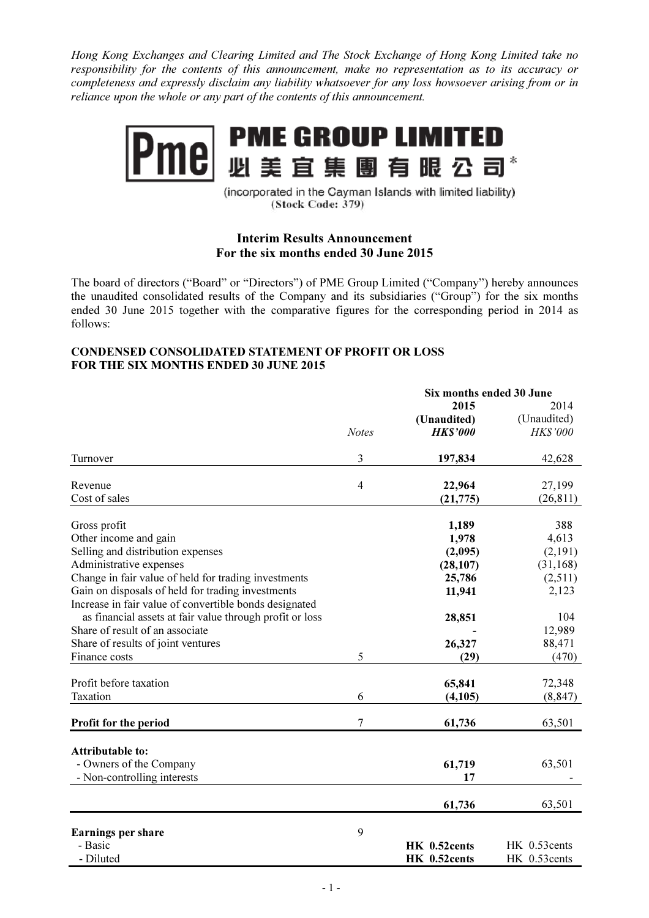Hong Kong Exchanges and Clearing Limited and The Stock Exchange of Hong Kong Limited take no responsibility for the contents of this announcement, make no representation as to its accuracy or completeness and expressly disclaim any liability whatsoever for any loss howsoever arising from or in reliance upon the whole or any part of the contents of this announcement.



(incorporated in the Cayman Islands with limited liability) (Stock Code: 379)

## Interim Results Announcement For the six months ended 30 June 2015

The board of directors ("Board" or "Directors") of PME Group Limited ("Company") hereby announces the unaudited consolidated results of the Company and its subsidiaries ("Group") for the six months ended 30 June 2015 together with the comparative figures for the corresponding period in 2014 as follows:

## CONDENSED CONSOLIDATED STATEMENT OF PROFIT OR LOSS FOR THE SIX MONTHS ENDED 30 JUNE 2015

|                                                          |                | Six months ended 30 June |              |
|----------------------------------------------------------|----------------|--------------------------|--------------|
|                                                          |                | 2015                     | 2014         |
|                                                          |                | (Unaudited)              | (Unaudited)  |
|                                                          | <b>Notes</b>   | <b>HK\$'000</b>          | HK\$'000     |
| Turnover                                                 | 3              | 197,834                  | 42,628       |
| Revenue                                                  | $\overline{4}$ | 22,964                   | 27,199       |
| Cost of sales                                            |                | (21, 775)                | (26, 811)    |
| Gross profit                                             |                | 1,189                    | 388          |
| Other income and gain                                    |                | 1,978                    | 4,613        |
| Selling and distribution expenses                        |                | (2,095)                  | (2,191)      |
| Administrative expenses                                  |                | (28, 107)                | (31, 168)    |
| Change in fair value of held for trading investments     |                | 25,786                   | (2,511)      |
| Gain on disposals of held for trading investments        |                | 11,941                   | 2,123        |
| Increase in fair value of convertible bonds designated   |                |                          |              |
| as financial assets at fair value through profit or loss |                | 28,851                   | 104          |
| Share of result of an associate                          |                |                          | 12,989       |
| Share of results of joint ventures                       |                | 26,327                   | 88,471       |
| Finance costs                                            | 5              | (29)                     | (470)        |
| Profit before taxation                                   |                | 65,841                   | 72,348       |
| Taxation                                                 | 6              |                          | (8, 847)     |
|                                                          |                | (4,105)                  |              |
| Profit for the period                                    | 7              | 61,736                   | 63,501       |
|                                                          |                |                          |              |
| <b>Attributable to:</b>                                  |                |                          |              |
| - Owners of the Company                                  |                | 61,719                   | 63,501       |
| - Non-controlling interests                              |                | 17                       |              |
|                                                          |                | 61,736                   | 63,501       |
|                                                          | 9              |                          |              |
| <b>Earnings per share</b><br>- Basic                     |                | HK 0.52cents             | HK 0.53cents |
| - Diluted                                                |                | HK 0.52cents             | HK 0.53cents |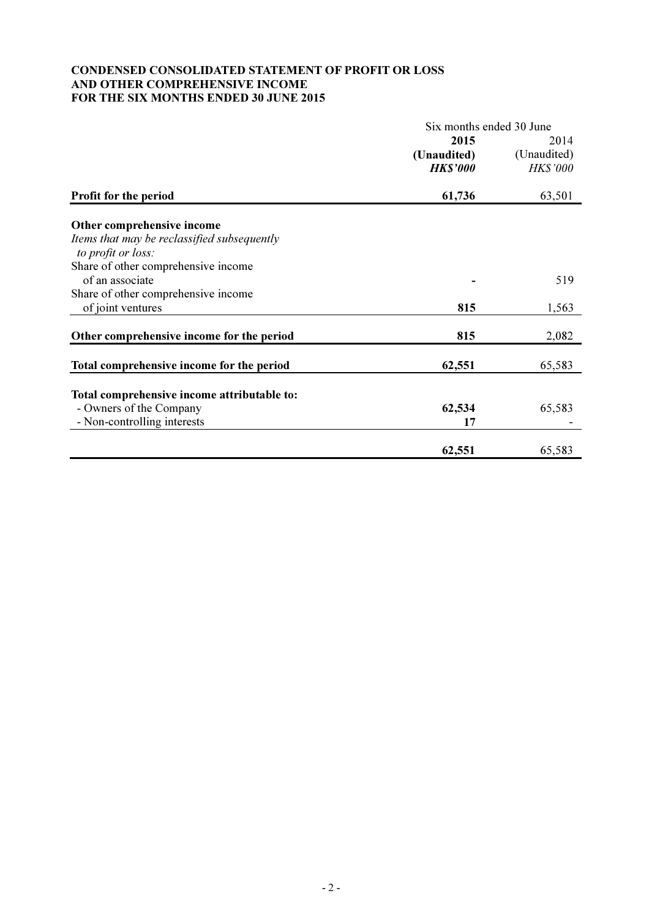## CONDENSED CONSOLIDATED STATEMENT OF PROFIT OR LOSS AND OTHER COMPREHENSIVE INCOME FOR THE SIX MONTHS ENDED 30 JUNE 2015

|                                                                   | Six months ended 30 June |                 |  |
|-------------------------------------------------------------------|--------------------------|-----------------|--|
|                                                                   | 2015                     | 2014            |  |
|                                                                   | (Unaudited)              | (Unaudited)     |  |
|                                                                   | <b>HK\$'000</b>          | <b>HK\$'000</b> |  |
| Profit for the period                                             | 61,736                   | 63,501          |  |
| Other comprehensive income                                        |                          |                 |  |
| Items that may be reclassified subsequently<br>to profit or loss: |                          |                 |  |
| Share of other comprehensive income                               |                          |                 |  |
| of an associate                                                   |                          | 519             |  |
| Share of other comprehensive income                               |                          |                 |  |
| of joint ventures                                                 | 815                      | 1,563           |  |
| Other comprehensive income for the period                         | 815                      | 2,082           |  |
| Total comprehensive income for the period                         | 62,551                   | 65,583          |  |
| Total comprehensive income attributable to:                       |                          |                 |  |
| - Owners of the Company                                           | 62,534                   | 65,583          |  |
| - Non-controlling interests                                       | 17                       |                 |  |
|                                                                   |                          |                 |  |
|                                                                   | 62,551                   | 65,583          |  |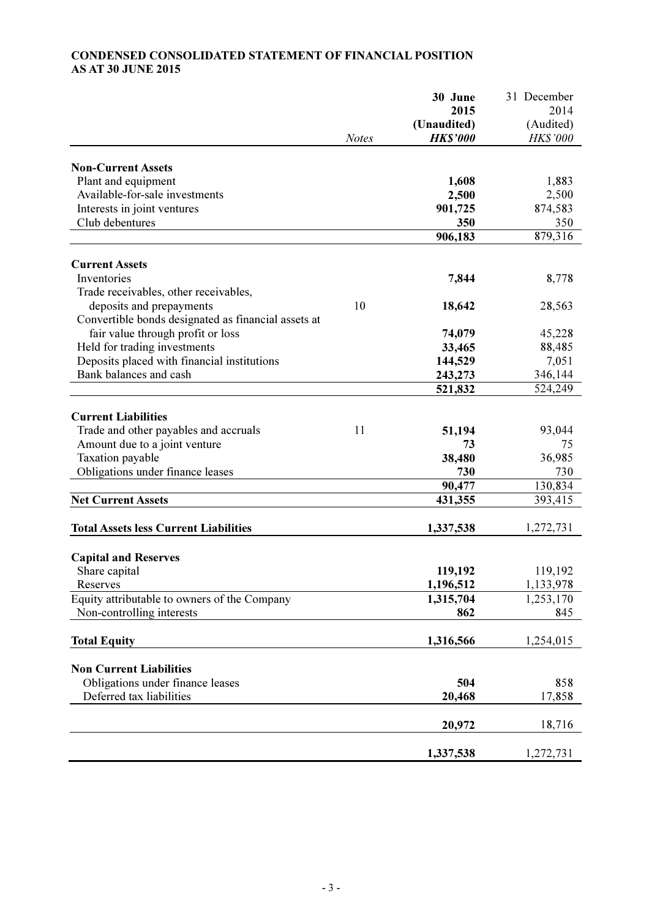# CONDENSED CONSOLIDATED STATEMENT OF FINANCIAL POSITION AS AT 30 JUNE 2015

|                                                     |              | 30 June         | 31 December     |
|-----------------------------------------------------|--------------|-----------------|-----------------|
|                                                     |              | 2015            | 2014            |
|                                                     |              | (Unaudited)     | (Audited)       |
|                                                     | <b>Notes</b> | <b>HK\$'000</b> | <b>HK\$'000</b> |
|                                                     |              |                 |                 |
| <b>Non-Current Assets</b>                           |              |                 |                 |
| Plant and equipment                                 |              | 1,608           | 1,883           |
| Available-for-sale investments                      |              | 2,500           | 2,500           |
| Interests in joint ventures                         |              | 901,725         | 874,583         |
| Club debentures                                     |              | 350             | 350             |
|                                                     |              | 906,183         | 879,316         |
| <b>Current Assets</b>                               |              |                 |                 |
| Inventories                                         |              | 7,844           | 8,778           |
| Trade receivables, other receivables,               |              |                 |                 |
| deposits and prepayments                            | 10           | 18,642          | 28,563          |
| Convertible bonds designated as financial assets at |              |                 |                 |
| fair value through profit or loss                   |              | 74,079          | 45,228          |
| Held for trading investments                        |              | 33,465          | 88,485          |
| Deposits placed with financial institutions         |              | 144,529         | 7,051           |
| Bank balances and cash                              |              | 243,273         | 346,144         |
|                                                     |              | 521,832         | 524,249         |
|                                                     |              |                 |                 |
| <b>Current Liabilities</b>                          |              |                 |                 |
| Trade and other payables and accruals               | 11           | 51,194          | 93,044          |
| Amount due to a joint venture                       |              | 73              | 75              |
| Taxation payable                                    |              | 38,480          | 36,985          |
| Obligations under finance leases                    |              | 730             | 730             |
|                                                     |              | 90,477          | 130,834         |
| <b>Net Current Assets</b>                           |              | 431,355         | 393,415         |
|                                                     |              |                 |                 |
| <b>Total Assets less Current Liabilities</b>        |              | 1,337,538       | 1,272,731       |
|                                                     |              |                 |                 |
| <b>Capital and Reserves</b>                         |              |                 |                 |
| Share capital                                       |              | 119,192         | 119,192         |
| Reserves                                            |              | 1,196,512       | 1,133,978       |
| Equity attributable to owners of the Company        |              | 1,315,704       | 1,253,170       |
| Non-controlling interests                           |              | 862             | 845             |
| <b>Total Equity</b>                                 |              | 1,316,566       | 1,254,015       |
|                                                     |              |                 |                 |
| <b>Non Current Liabilities</b>                      |              |                 |                 |
| Obligations under finance leases                    |              | 504             | 858             |
| Deferred tax liabilities                            |              | 20,468          | 17,858          |
|                                                     |              |                 |                 |
|                                                     |              | 20,972          | 18,716          |
|                                                     |              | 1,337,538       |                 |
|                                                     |              |                 | 1,272,731       |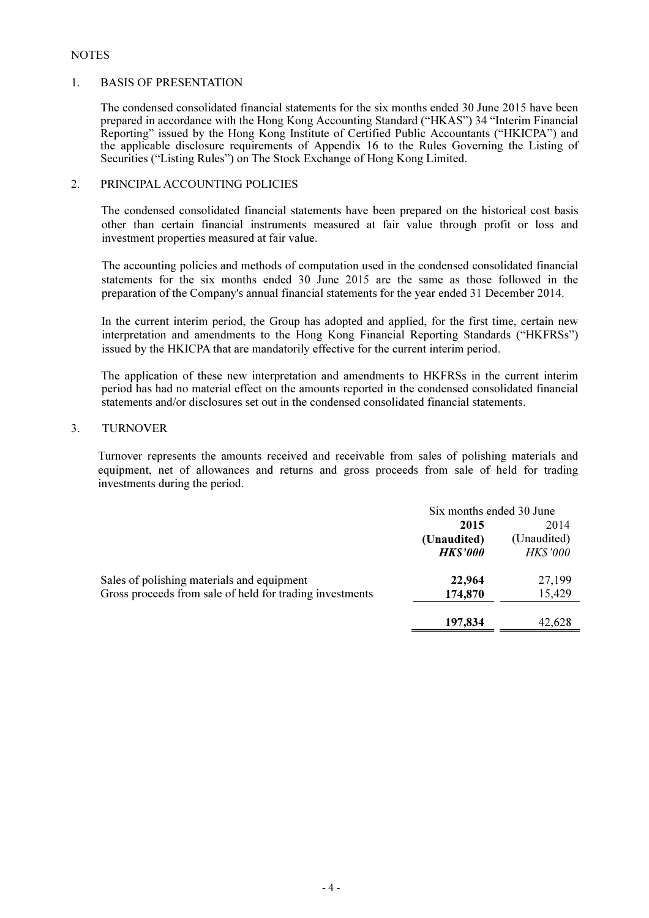## **NOTES**

#### 1. BASIS OF PRESENTATION

 The condensed consolidated financial statements for the six months ended 30 June 2015 have been prepared in accordance with the Hong Kong Accounting Standard ("HKAS") 34 "Interim Financial Reporting" issued by the Hong Kong Institute of Certified Public Accountants ("HKICPA") and the applicable disclosure requirements of Appendix 16 to the Rules Governing the Listing of Securities ("Listing Rules") on The Stock Exchange of Hong Kong Limited.

### 2. PRINCIPAL ACCOUNTING POLICIES

The condensed consolidated financial statements have been prepared on the historical cost basis other than certain financial instruments measured at fair value through profit or loss and investment properties measured at fair value.

 The accounting policies and methods of computation used in the condensed consolidated financial statements for the six months ended 30 June 2015 are the same as those followed in the preparation of the Company's annual financial statements for the year ended 31 December 2014.

 In the current interim period, the Group has adopted and applied, for the first time, certain new interpretation and amendments to the Hong Kong Financial Reporting Standards ("HKFRSs") issued by the HKICPA that are mandatorily effective for the current interim period.

The application of these new interpretation and amendments to HKFRSs in the current interim period has had no material effect on the amounts reported in the condensed consolidated financial statements and/or disclosures set out in the condensed consolidated financial statements.

## 3. TURNOVER

Turnover represents the amounts received and receivable from sales of polishing materials and equipment, net of allowances and returns and gross proceeds from sale of held for trading investments during the period.

|                                                          | Six months ended 30 June |                |
|----------------------------------------------------------|--------------------------|----------------|
|                                                          | 2014<br>2015             |                |
|                                                          | (Unaudited)              | (Unaudited)    |
|                                                          | <b>HK\$'000</b>          | <b>HKS'000</b> |
| Sales of polishing materials and equipment               | 22,964                   | 27,199         |
| Gross proceeds from sale of held for trading investments | 174,870                  | 15,429         |
|                                                          |                          |                |
|                                                          | 197,834                  | 42.628         |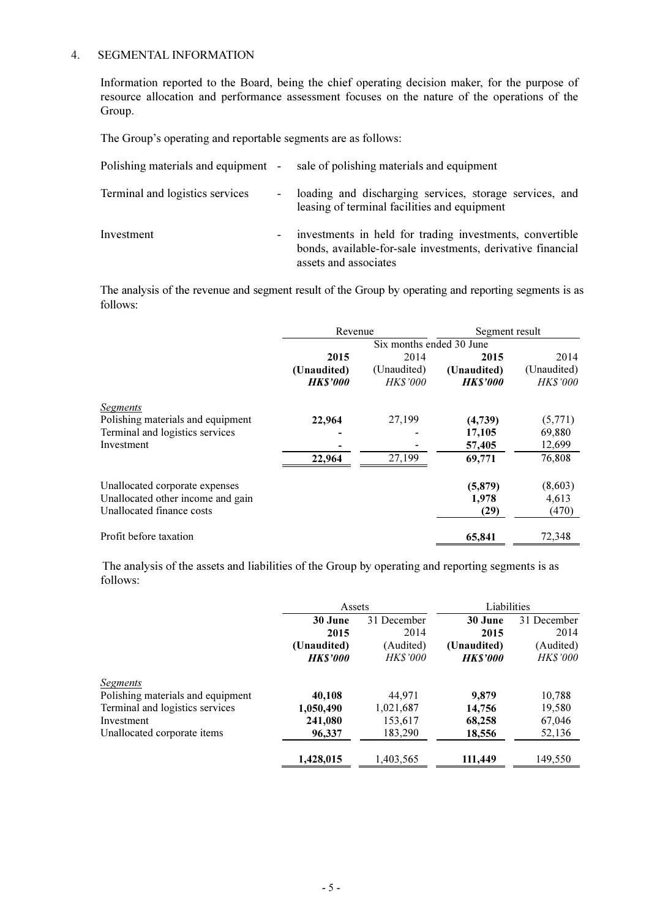## 4. SEGMENTAL INFORMATION

Information reported to the Board, being the chief operating decision maker, for the purpose of resource allocation and performance assessment focuses on the nature of the operations of the Group.

The Group's operating and reportable segments are as follows:

| Polishing materials and equipment - |                          | sale of polishing materials and equipment                                                                                                        |
|-------------------------------------|--------------------------|--------------------------------------------------------------------------------------------------------------------------------------------------|
| Terminal and logistics services     | $\sim$                   | loading and discharging services, storage services, and<br>leasing of terminal facilities and equipment                                          |
| Investment                          | $\overline{\phantom{a}}$ | investments in held for trading investments, convertible<br>bonds, available-for-sale investments, derivative financial<br>assets and associates |

The analysis of the revenue and segment result of the Group by operating and reporting segments is as follows:

|                                   | Revenue        |                          | Segment result |                 |
|-----------------------------------|----------------|--------------------------|----------------|-----------------|
|                                   |                | Six months ended 30 June |                |                 |
|                                   | 2015           | 2014                     | 2015           | 2014            |
|                                   | (Unaudited)    | (Unaudited)              | (Unaudited)    | (Unaudited)     |
|                                   | <b>HKS'000</b> | <b>HKS'000</b>           | <b>HKS'000</b> | <i>HK\$'000</i> |
| <b>Segments</b>                   |                |                          |                |                 |
| Polishing materials and equipment | 22,964         | 27,199                   | (4,739)        | (5,771)         |
| Terminal and logistics services   |                |                          | 17,105         | 69,880          |
| Investment                        |                |                          | 57,405         | 12,699          |
|                                   | 22,964         | 27,199                   | 69,771         | 76,808          |
| Unallocated corporate expenses    |                |                          | (5,879)        | (8,603)         |
| Unallocated other income and gain |                |                          | 1,978          | 4,613           |
| Unallocated finance costs         |                |                          | (29)           | (470)           |
| Profit before taxation            |                |                          | 65,841         | 72,348          |

 The analysis of the assets and liabilities of the Group by operating and reporting segments is as follows:

|                                   | Assets         |                | Liabilities    |                 |
|-----------------------------------|----------------|----------------|----------------|-----------------|
|                                   | 30 June        | 31 December    | 30 June        | 31 December     |
|                                   | 2015           | 2014           | 2015           | 2014            |
|                                   | (Unaudited)    | (Audited)      | (Unaudited)    | (Audited)       |
|                                   | <b>HKS'000</b> | <b>HKS'000</b> | <b>HKS'000</b> | <b>HK\$'000</b> |
| <b>Segments</b>                   |                |                |                |                 |
| Polishing materials and equipment | 40,108         | 44,971         | 9.879          | 10,788          |
| Terminal and logistics services   | 1,050,490      | 1,021,687      | 14,756         | 19,580          |
| Investment                        | 241,080        | 153,617        | 68,258         | 67,046          |
| Unallocated corporate items       | 96,337         | 183,290        | 18,556         | 52,136          |
|                                   | 1,428,015      | 1,403,565      | 111,449        | 149,550         |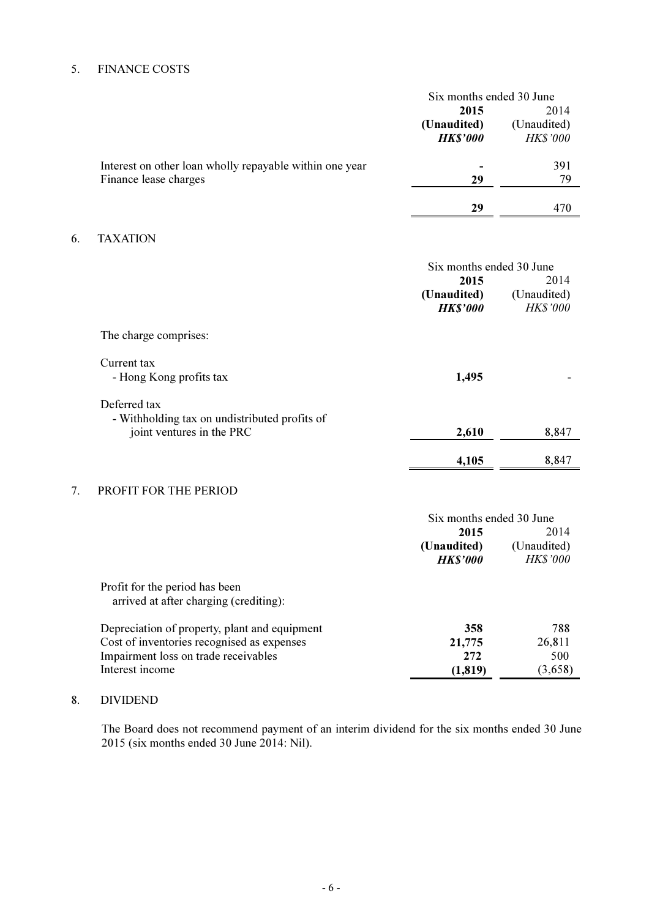# 5. FINANCE COSTS

6.

|                                                                                            | Six months ended 30 June<br>2015<br>(Unaudited)<br><b>HK\$'000</b> | 2014<br>(Unaudited)<br><b>HK\$'000</b> |
|--------------------------------------------------------------------------------------------|--------------------------------------------------------------------|----------------------------------------|
| Interest on other loan wholly repayable within one year<br>Finance lease charges           | 29                                                                 | 391<br>79                              |
|                                                                                            | 29                                                                 | 470                                    |
| <b>TAXATION</b>                                                                            |                                                                    |                                        |
|                                                                                            | Six months ended 30 June<br>2015<br>(Unaudited)<br><b>HK\$'000</b> | 2014<br>(Unaudited)<br><b>HK\$'000</b> |
| The charge comprises:                                                                      |                                                                    |                                        |
| Current tax<br>- Hong Kong profits tax                                                     | 1,495                                                              |                                        |
| Deferred tax<br>- Withholding tax on undistributed profits of<br>joint ventures in the PRC | 2,610                                                              | 8,847                                  |
|                                                                                            | 4,105                                                              | 8,847                                  |
| PROFIT FOR THE PERIOD                                                                      |                                                                    |                                        |

# 7. PROFIT FOR THE PERIOD

|                                               | Six months ended 30 June |                 |  |
|-----------------------------------------------|--------------------------|-----------------|--|
|                                               | 2014<br>2015             |                 |  |
|                                               | (Unaudited)              | (Unaudited)     |  |
|                                               | <b>HKS'000</b>           | <b>HK\$'000</b> |  |
| Profit for the period has been                |                          |                 |  |
| arrived at after charging (crediting):        |                          |                 |  |
| Depreciation of property, plant and equipment | 358                      | 788             |  |
| Cost of inventories recognised as expenses    | 21,775                   | 26,811          |  |
| Impairment loss on trade receivables          | 272                      | 500             |  |
| Interest income                               | (1, 819)                 | (3,658)         |  |

# 8. DIVIDEND

The Board does not recommend payment of an interim dividend for the six months ended 30 June 2015 (six months ended 30 June 2014: Nil).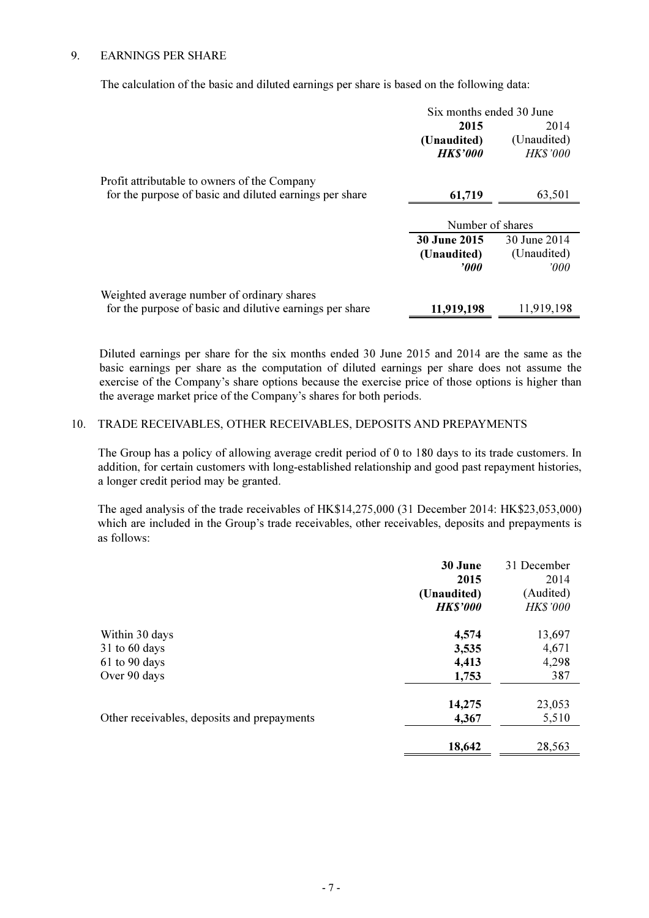### 9. EARNINGS PER SHARE

The calculation of the basic and diluted earnings per share is based on the following data:

|                                                          | Six months ended 30 June |                |
|----------------------------------------------------------|--------------------------|----------------|
|                                                          | 2015                     | 2014           |
|                                                          | (Unaudited)              | (Unaudited)    |
|                                                          | <b>HK\$'000</b>          | <b>HKS'000</b> |
| Profit attributable to owners of the Company             |                          |                |
| for the purpose of basic and diluted earnings per share  | 61,719                   | 63,501         |
|                                                          |                          |                |
|                                                          | Number of shares         |                |
|                                                          | <b>30 June 2015</b>      | 30 June 2014   |
|                                                          | (Unaudited)              | (Unaudited)    |
|                                                          | $\bm{v}$                 | 2000           |
| Weighted average number of ordinary shares               |                          |                |
| for the purpose of basic and dilutive earnings per share | 11,919,198               | 11,919,198     |

Diluted earnings per share for the six months ended 30 June 2015 and 2014 are the same as the basic earnings per share as the computation of diluted earnings per share does not assume the exercise of the Company's share options because the exercise price of those options is higher than the average market price of the Company's shares for both periods.

## 10. TRADE RECEIVABLES, OTHER RECEIVABLES, DEPOSITS AND PREPAYMENTS

 The Group has a policy of allowing average credit period of 0 to 180 days to its trade customers. In addition, for certain customers with long-established relationship and good past repayment histories, a longer credit period may be granted.

 The aged analysis of the trade receivables of HK\$14,275,000 (31 December 2014: HK\$23,053,000) which are included in the Group's trade receivables, other receivables, deposits and prepayments is as follows:

|                                             | 30 June<br>2015<br>(Unaudited)<br><b>HK\$'000</b> | 31 December<br>2014<br>(Audited)<br><b>HKS'000</b> |
|---------------------------------------------|---------------------------------------------------|----------------------------------------------------|
| Within 30 days                              | 4,574                                             | 13,697                                             |
| $31$ to 60 days                             | 3,535                                             | 4,671                                              |
| $61$ to 90 days                             | 4,413                                             | 4,298                                              |
| Over 90 days                                | 1,753                                             | 387                                                |
|                                             | 14,275                                            | 23,053                                             |
| Other receivables, deposits and prepayments | 4,367                                             | 5,510                                              |
|                                             | 18,642                                            | 28,563                                             |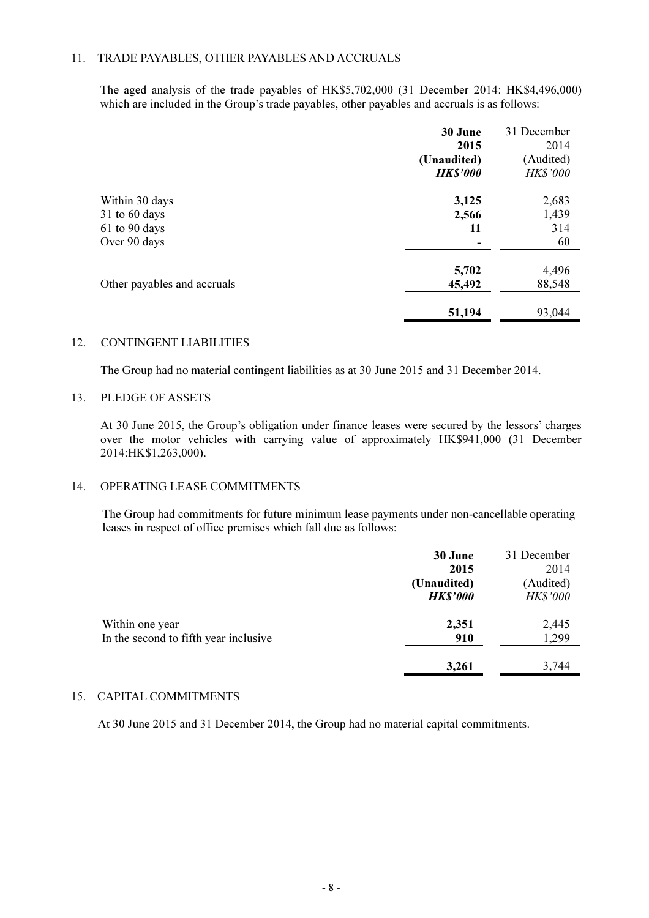### 11. TRADE PAYABLES, OTHER PAYABLES AND ACCRUALS

The aged analysis of the trade payables of HK\$5,702,000 (31 December 2014: HK\$4,496,000) which are included in the Group's trade payables, other payables and accruals is as follows:

|                             | 30 June<br>2015<br>(Unaudited)<br><b>HK\$'000</b> | 31 December<br>2014<br>(Audited)<br><b>HK\$'000</b> |
|-----------------------------|---------------------------------------------------|-----------------------------------------------------|
|                             |                                                   |                                                     |
| Within 30 days              | 3,125                                             | 2,683                                               |
| 31 to 60 days               | 2,566                                             | 1,439                                               |
| 61 to 90 days               | 11                                                | 314                                                 |
| Over 90 days                |                                                   | 60                                                  |
|                             | 5,702                                             | 4,496                                               |
| Other payables and accruals | 45,492                                            | 88,548                                              |
|                             | 51,194                                            | 93,044                                              |

#### 12. CONTINGENT LIABILITIES

The Group had no material contingent liabilities as at 30 June 2015 and 31 December 2014.

#### 13. PLEDGE OF ASSETS

At 30 June 2015, the Group's obligation under finance leases were secured by the lessors' charges over the motor vehicles with carrying value of approximately HK\$941,000 (31 December 2014:HK\$1,263,000).

## 14. OPERATING LEASE COMMITMENTS

 The Group had commitments for future minimum lease payments under non-cancellable operating leases in respect of office premises which fall due as follows:

|                                       | 30 June         | 31 December     |
|---------------------------------------|-----------------|-----------------|
|                                       | 2015            | 2014            |
|                                       | (Unaudited)     | (Audited)       |
|                                       | <b>HK\$'000</b> | <b>HK\$'000</b> |
| Within one year                       | 2,351           | 2,445           |
| In the second to fifth year inclusive | 910             | 1,299           |
|                                       | 3,261           | 3,744           |

#### 15. CAPITAL COMMITMENTS

At 30 June 2015 and 31 December 2014, the Group had no material capital commitments.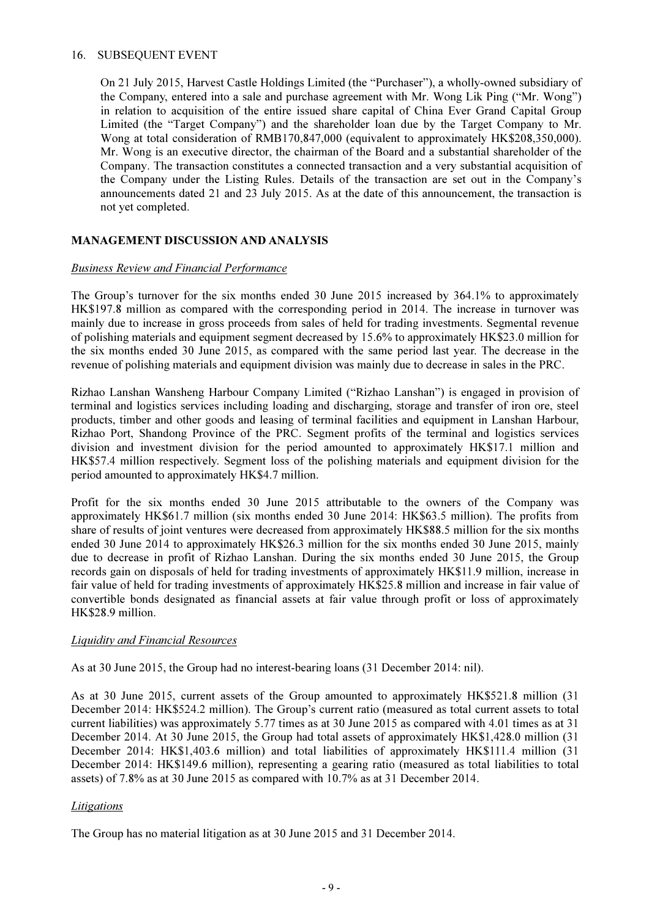### 16. SUBSEQUENT EVENT

On 21 July 2015, Harvest Castle Holdings Limited (the "Purchaser"), a wholly-owned subsidiary of the Company, entered into a sale and purchase agreement with Mr. Wong Lik Ping ("Mr. Wong") in relation to acquisition of the entire issued share capital of China Ever Grand Capital Group Limited (the "Target Company") and the shareholder loan due by the Target Company to Mr. Wong at total consideration of RMB170,847,000 (equivalent to approximately HK\$208,350,000). Mr. Wong is an executive director, the chairman of the Board and a substantial shareholder of the Company. The transaction constitutes a connected transaction and a very substantial acquisition of the Company under the Listing Rules. Details of the transaction are set out in the Company's announcements dated 21 and 23 July 2015. As at the date of this announcement, the transaction is not yet completed.

## MANAGEMENT DISCUSSION AND ANALYSIS

## **Business Review and Financial Performance**

The Group's turnover for the six months ended 30 June 2015 increased by 364.1% to approximately HK\$197.8 million as compared with the corresponding period in 2014. The increase in turnover was mainly due to increase in gross proceeds from sales of held for trading investments. Segmental revenue of polishing materials and equipment segment decreased by 15.6% to approximately HK\$23.0 million for the six months ended 30 June 2015, as compared with the same period last year. The decrease in the revenue of polishing materials and equipment division was mainly due to decrease in sales in the PRC.

Rizhao Lanshan Wansheng Harbour Company Limited ("Rizhao Lanshan") is engaged in provision of terminal and logistics services including loading and discharging, storage and transfer of iron ore, steel products, timber and other goods and leasing of terminal facilities and equipment in Lanshan Harbour, Rizhao Port, Shandong Province of the PRC. Segment profits of the terminal and logistics services division and investment division for the period amounted to approximately HK\$17.1 million and HK\$57.4 million respectively. Segment loss of the polishing materials and equipment division for the period amounted to approximately HK\$4.7 million.

Profit for the six months ended 30 June 2015 attributable to the owners of the Company was approximately HK\$61.7 million (six months ended 30 June 2014: HK\$63.5 million). The profits from share of results of joint ventures were decreased from approximately HK\$88.5 million for the six months ended 30 June 2014 to approximately HK\$26.3 million for the six months ended 30 June 2015, mainly due to decrease in profit of Rizhao Lanshan. During the six months ended 30 June 2015, the Group records gain on disposals of held for trading investments of approximately HK\$11.9 million, increase in fair value of held for trading investments of approximately HK\$25.8 million and increase in fair value of convertible bonds designated as financial assets at fair value through profit or loss of approximately HK\$28.9 million.

### Liquidity and Financial Resources

As at 30 June 2015, the Group had no interest-bearing loans (31 December 2014: nil).

As at 30 June 2015, current assets of the Group amounted to approximately HK\$521.8 million (31 December 2014: HK\$524.2 million). The Group's current ratio (measured as total current assets to total current liabilities) was approximately 5.77 times as at 30 June 2015 as compared with 4.01 times as at 31 December 2014. At 30 June 2015, the Group had total assets of approximately HK\$1,428.0 million (31 December 2014: HK\$1,403.6 million) and total liabilities of approximately HK\$111.4 million (31 December 2014: HK\$149.6 million), representing a gearing ratio (measured as total liabilities to total assets) of 7.8% as at 30 June 2015 as compared with 10.7% as at 31 December 2014.

## **Litigations**

The Group has no material litigation as at 30 June 2015 and 31 December 2014.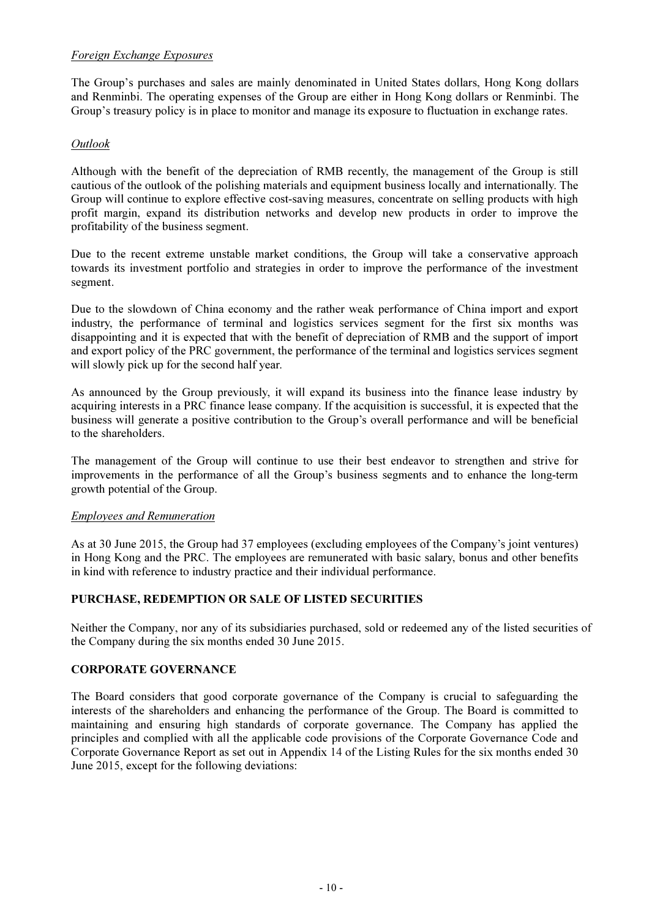## Foreign Exchange Exposures

The Group's purchases and sales are mainly denominated in United States dollars, Hong Kong dollars and Renminbi. The operating expenses of the Group are either in Hong Kong dollars or Renminbi. The Group's treasury policy is in place to monitor and manage its exposure to fluctuation in exchange rates.

## Outlook

Although with the benefit of the depreciation of RMB recently, the management of the Group is still cautious of the outlook of the polishing materials and equipment business locally and internationally. The Group will continue to explore effective cost-saving measures, concentrate on selling products with high profit margin, expand its distribution networks and develop new products in order to improve the profitability of the business segment.

Due to the recent extreme unstable market conditions, the Group will take a conservative approach towards its investment portfolio and strategies in order to improve the performance of the investment segment.

Due to the slowdown of China economy and the rather weak performance of China import and export industry, the performance of terminal and logistics services segment for the first six months was disappointing and it is expected that with the benefit of depreciation of RMB and the support of import and export policy of the PRC government, the performance of the terminal and logistics services segment will slowly pick up for the second half year.

As announced by the Group previously, it will expand its business into the finance lease industry by acquiring interests in a PRC finance lease company. If the acquisition is successful, it is expected that the business will generate a positive contribution to the Group's overall performance and will be beneficial to the shareholders.

The management of the Group will continue to use their best endeavor to strengthen and strive for improvements in the performance of all the Group's business segments and to enhance the long-term growth potential of the Group.

### Employees and Remuneration

As at 30 June 2015, the Group had 37 employees (excluding employees of the Company's joint ventures) in Hong Kong and the PRC. The employees are remunerated with basic salary, bonus and other benefits in kind with reference to industry practice and their individual performance.

## PURCHASE, REDEMPTION OR SALE OF LISTED SECURITIES

Neither the Company, nor any of its subsidiaries purchased, sold or redeemed any of the listed securities of the Company during the six months ended 30 June 2015.

### CORPORATE GOVERNANCE

The Board considers that good corporate governance of the Company is crucial to safeguarding the interests of the shareholders and enhancing the performance of the Group. The Board is committed to maintaining and ensuring high standards of corporate governance. The Company has applied the principles and complied with all the applicable code provisions of the Corporate Governance Code and Corporate Governance Report as set out in Appendix 14 of the Listing Rules for the six months ended 30 June 2015, except for the following deviations: